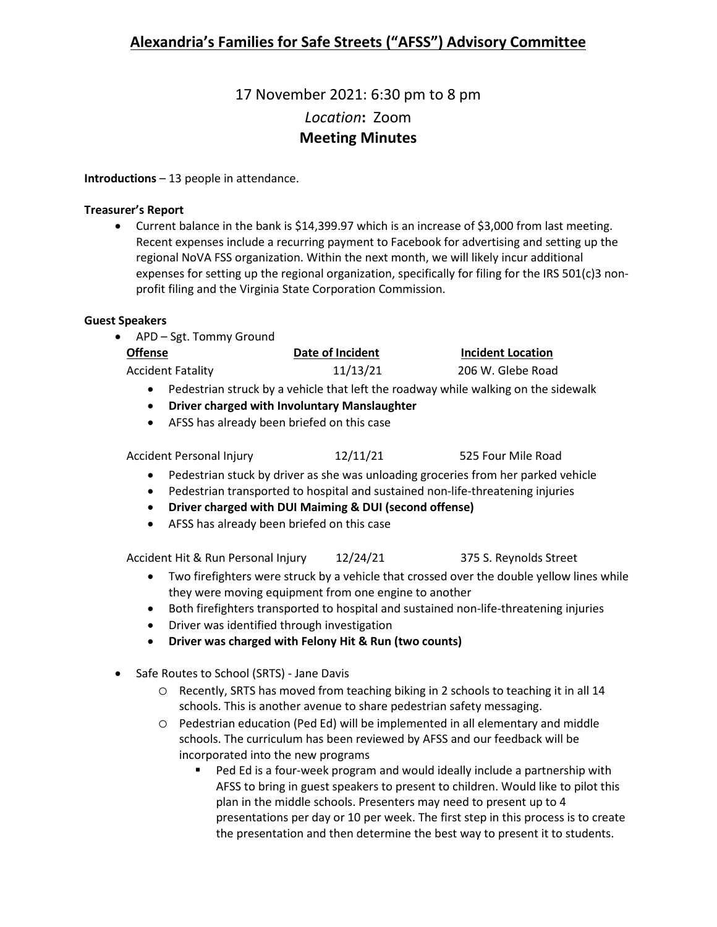# 17 November 2021: 6:30 pm to 8 pm *Location***:** Zoom **Meeting Minutes**

**Introductions** – 13 people in attendance.

### **Treasurer's Report**

• Current balance in the bank is \$14,399.97 which is an increase of \$3,000 from last meeting. Recent expenses include a recurring payment to Facebook for advertising and setting up the regional NoVA FSS organization. Within the next month, we will likely incur additional expenses for setting up the regional organization, specifically for filing for the IRS 501(c)3 nonprofit filing and the Virginia State Corporation Commission.

### **Guest Speakers**

| • APD – Sgt. Tommy Ground |                  |                          |
|---------------------------|------------------|--------------------------|
| <b>Offense</b>            | Date of Incident | <b>Incident Location</b> |
| <b>Accident Fatality</b>  | 11/13/21         | 206 W. Glebe Road        |
|                           |                  |                          |

- Pedestrian struck by a vehicle that left the roadway while walking on the sidewalk
- **Driver charged with Involuntary Manslaughter**
- AFSS has already been briefed on this case

### Accident Personal Injury 12/11/21 525 Four Mile Road

- Pedestrian stuck by driver as she was unloading groceries from her parked vehicle
- Pedestrian transported to hospital and sustained non-life-threatening injuries
- **Driver charged with DUI Maiming & DUI (second offense)**
- AFSS has already been briefed on this case

Accident Hit & Run Personal Injury 12/24/21 375 S. Reynolds Street

- Two firefighters were struck by a vehicle that crossed over the double yellow lines while they were moving equipment from one engine to another
- Both firefighters transported to hospital and sustained non-life-threatening injuries
- Driver was identified through investigation
- **Driver was charged with Felony Hit & Run (two counts)**
- Safe Routes to School (SRTS) Jane Davis
	- o Recently, SRTS has moved from teaching biking in 2 schools to teaching it in all 14 schools. This is another avenue to share pedestrian safety messaging.
	- o Pedestrian education (Ped Ed) will be implemented in all elementary and middle schools. The curriculum has been reviewed by AFSS and our feedback will be incorporated into the new programs
		- **Ped Ed is a four-week program and would ideally include a partnership with** AFSS to bring in guest speakers to present to children. Would like to pilot this plan in the middle schools. Presenters may need to present up to 4 presentations per day or 10 per week. The first step in this process is to create the presentation and then determine the best way to present it to students.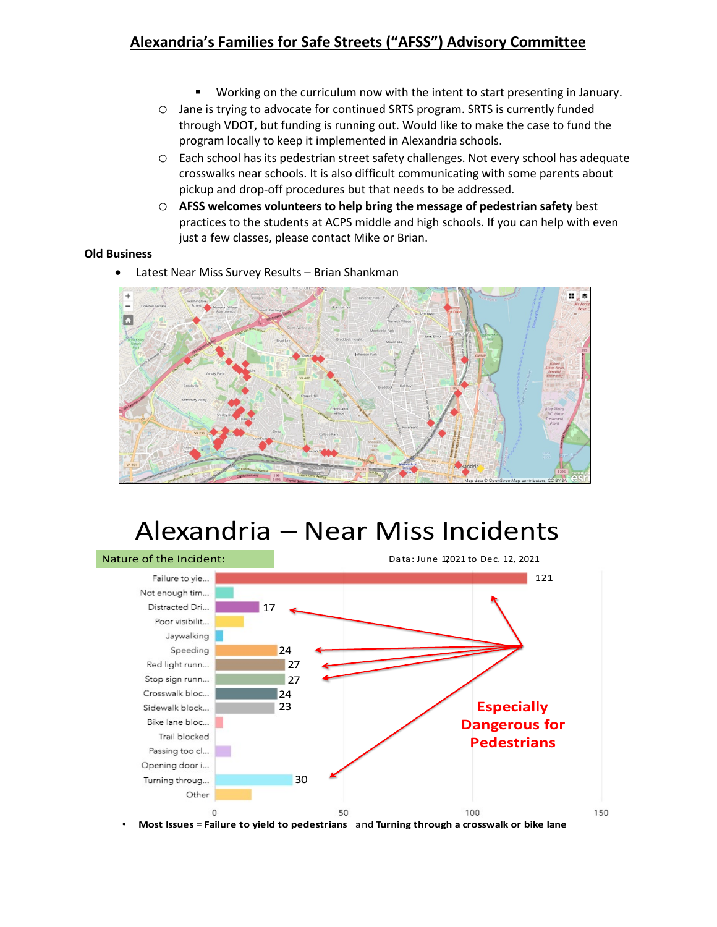## **Alexandria's Families for Safe Streets ("AFSS") Advisory Committee**

- **Working on the curriculum now with the intent to start presenting in January.**
- o Jane is trying to advocate for continued SRTS program. SRTS is currently funded through VDOT, but funding is running out. Would like to make the case to fund the program locally to keep it implemented in Alexandria schools.
- o Each school has its pedestrian street safety challenges. Not every school has adequate crosswalks near schools. It is also difficult communicating with some parents about pickup and drop-off procedures but that needs to be addressed.
- o **AFSS welcomes volunteers to help bring the message of pedestrian safety** best practices to the students at ACPS middle and high schools. If you can help with even just a few classes, please contact Mike or Brian.

### **Old Business**

Latest Near Miss Survey Results - Brian Shankman



# Alexandria – Near Miss Incidents

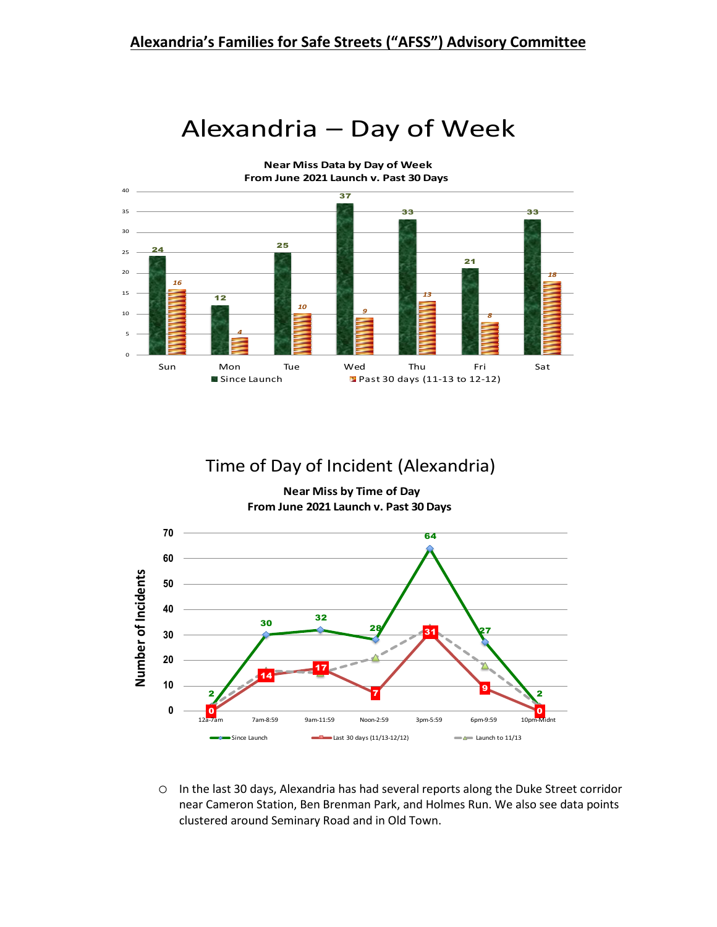



# Time of Day of Incident (Alexandria)

**Near Miss by Time of Day From June 2021 Launch v. Past 30 Days**



o In the last 30 days, Alexandria has had several reports along the Duke Street corridor near Cameron Station, Ben Brenman Park, and Holmes Run. We also see data points clustered around Seminary Road and in Old Town.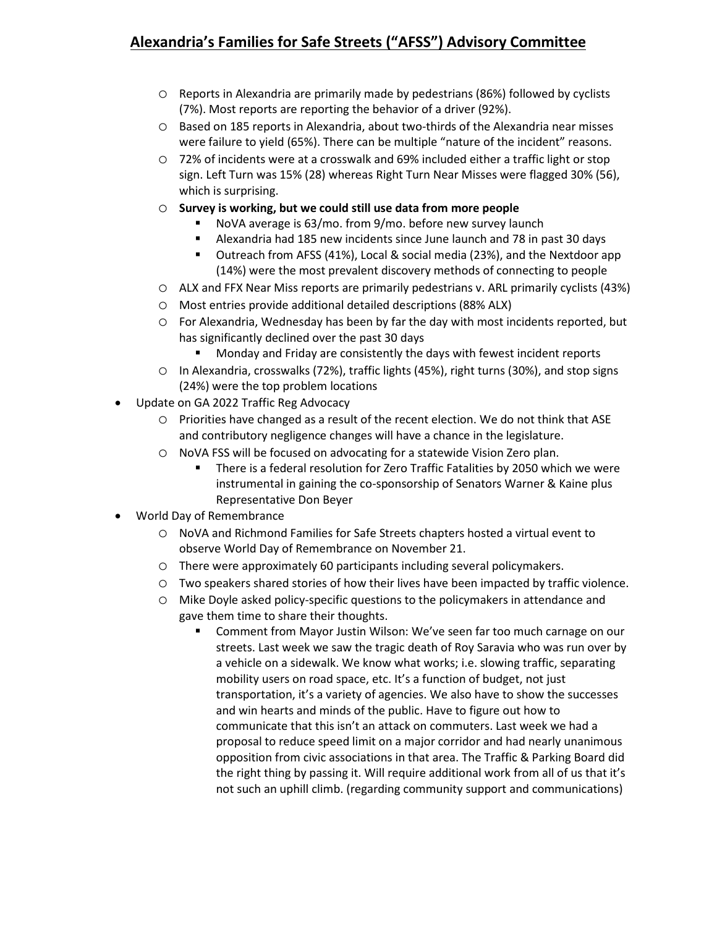# **Alexandria's Families for Safe Streets ("AFSS") Advisory Committee**

- o Reports in Alexandria are primarily made by pedestrians (86%) followed by cyclists (7%). Most reports are reporting the behavior of a driver (92%).
- o Based on 185 reports in Alexandria, about two-thirds of the Alexandria near misses were failure to yield (65%). There can be multiple "nature of the incident" reasons.
- o 72% of incidents were at a crosswalk and 69% included either a traffic light or stop sign. Left Turn was 15% (28) whereas Right Turn Near Misses were flagged 30% (56), which is surprising.
- o **Survey is working, but we could still use data from more people**
	- NoVA average is 63/mo. from 9/mo. before new survey launch
	- Alexandria had 185 new incidents since June launch and 78 in past 30 days
	- Outreach from AFSS (41%), Local & social media (23%), and the Nextdoor app (14%) were the most prevalent discovery methods of connecting to people
- o ALX and FFX Near Miss reports are primarily pedestrians v. ARL primarily cyclists (43%)
- o Most entries provide additional detailed descriptions (88% ALX)
- o For Alexandria, Wednesday has been by far the day with most incidents reported, but has significantly declined over the past 30 days
	- **Monday and Friday are consistently the days with fewest incident reports**
- o In Alexandria, crosswalks (72%), traffic lights (45%), right turns (30%), and stop signs (24%) were the top problem locations
- Update on GA 2022 Traffic Reg Advocacy
	- o Priorities have changed as a result of the recent election. We do not think that ASE and contributory negligence changes will have a chance in the legislature.
	- o NoVA FSS will be focused on advocating for a statewide Vision Zero plan.
		- There is a federal resolution for Zero Traffic Fatalities by 2050 which we were instrumental in gaining the co-sponsorship of Senators Warner & Kaine plus Representative Don Beyer
- World Day of Remembrance
	- o NoVA and Richmond Families for Safe Streets chapters hosted a virtual event to observe World Day of Remembrance on November 21.
	- o There were approximately 60 participants including several policymakers.
	- o Two speakers shared stories of how their lives have been impacted by traffic violence.
	- o Mike Doyle asked policy-specific questions to the policymakers in attendance and gave them time to share their thoughts.
		- **EXECOMMENT COMMENT COMMON MANUS** Comment from Mayor Justin Wilson: We've seen far too much carnage on our streets. Last week we saw the tragic death of Roy Saravia who was run over by a vehicle on a sidewalk. We know what works; i.e. slowing traffic, separating mobility users on road space, etc. It's a function of budget, not just transportation, it's a variety of agencies. We also have to show the successes and win hearts and minds of the public. Have to figure out how to communicate that this isn't an attack on commuters. Last week we had a proposal to reduce speed limit on a major corridor and had nearly unanimous opposition from civic associations in that area. The Traffic & Parking Board did the right thing by passing it. Will require additional work from all of us that it's not such an uphill climb. (regarding community support and communications)